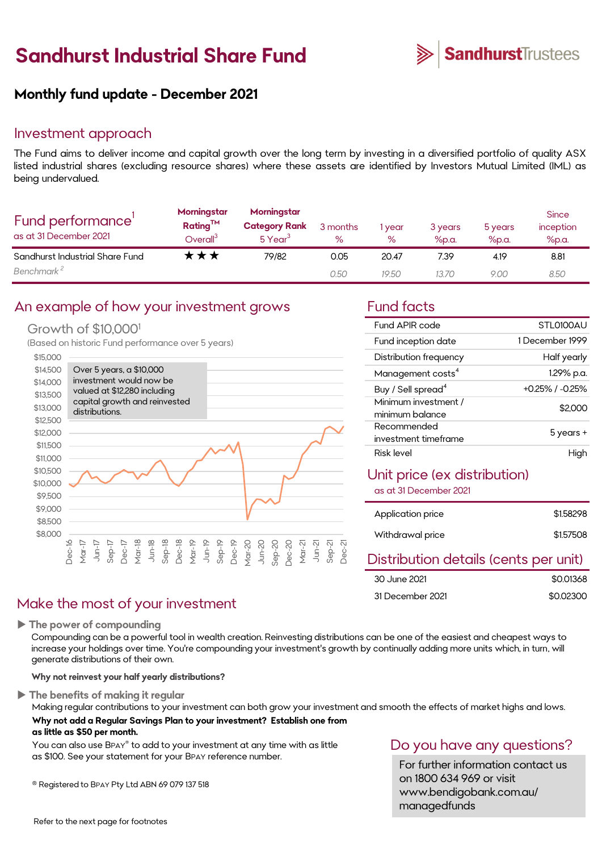# **Sandhurst Industrial Share Fund**



# **Monthly fund update - December 2021**

### Investment approach

The Fund aims to deliver income and capital growth over the long term by investing in a diversified portfolio of quality ASX listed industrial shares (excluding resource shares) where these assets are identified by Investors Mutual Limited (IML) as being undervalued.

| Fund performance'<br>as at 31 December 2021 | Morningstar<br>$Rating^{TM}$<br>Overall <sup>3</sup> | Morningstar<br><b>Category Rank</b><br>$5$ Year <sup>3</sup> | 3 months<br>$\%$ | year<br>$\%$ | 3 years<br>%p.a. | 5 years<br>%p.a. | <b>Since</b><br>inception<br>%p.a. |
|---------------------------------------------|------------------------------------------------------|--------------------------------------------------------------|------------------|--------------|------------------|------------------|------------------------------------|
| Sandhurst Industrial Share Fund             | ★★★                                                  | 79/82                                                        | 0.05             | 20.47        | 7.39             | 4.19             | 8.81                               |
| Benchmark <sup>2</sup>                      |                                                      |                                                              | 0.50             | 19.50        | 13.70            | 9.00             | 8.50                               |

# An example of how your investment grows Fund facts

#### Growth of \$10,000<sup>1</sup>

(Based on historic Fund performance over 5 years)



# Make the most of your investment

**The power of compounding**

Compounding can be a powerful tool in wealth creation. Reinvesting distributions can be one of the easiest and cheapest ways to increase your holdings over time. You're compounding your investment's growth by continually adding more units which, in turn, will generate distributions of their own.

**Why not reinvest your half yearly distributions?**

**The benefits of making it regular**

Making regular contributions to your investment can both grow your investment and smooth the effects of market highs and lows. **Why not add a Regular Savings Plan to your investment? Establish one from as little as \$50 per month.** 

You can also use BPAY® to add to your investment at any time with as little as \$100. See your statement for your BPAY reference number.

® Registered to BPAY Pty Ltd ABN 69 079 137 518

| Fund APIR code                          | STLO100AU       |
|-----------------------------------------|-----------------|
| Fund inception date                     | 1 December 1999 |
| Distribution frequency                  | Half yearly     |
| Management costs <sup>4</sup>           | 1.29% p.a.      |
| Buy / Sell spread <sup>4</sup>          | +0.25% / -0.25% |
| Minimum investment /<br>minimum balance | \$2,000         |
| Recommended<br>investment timeframe     | 5 years +       |
| Risk level                              |                 |

## Unit price (ex distribution)

as at 31 December 2021

| Application price | \$1,58298 |
|-------------------|-----------|
| Withdrawal price  | \$1,57508 |

### Distribution details (cents per unit)

| 30 June 2021     | \$0.01368 |
|------------------|-----------|
| 31 December 2021 | \$0.02300 |

# Do you have any questions?

For further information contact us on 1800 634 969 or visit www.bendigobank.com.au/ managedfunds